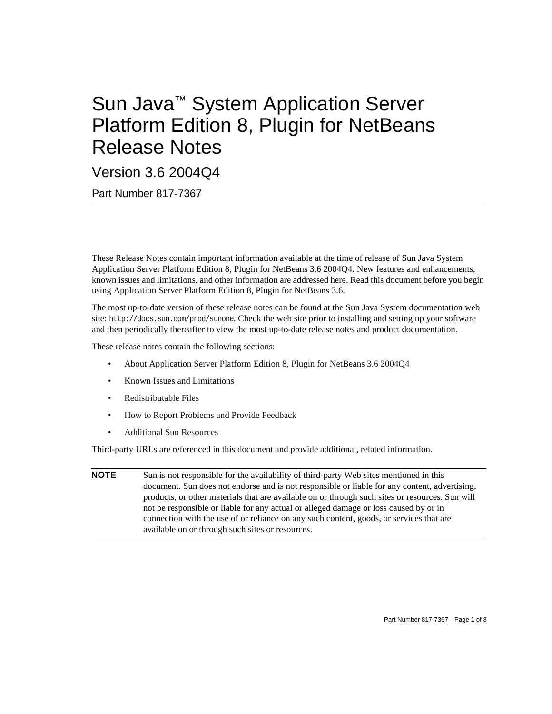# Sun Java™ System Application Server Platform Edition 8, Plugin for NetBeans Release Notes

Version 3.6 2004Q4

Part Number 817-7367

These Release Notes contain important information available at the time of release of Sun Java System Application Server Platform Edition 8, Plugin for NetBeans 3.6 2004Q4. New features and enhancements, known issues and limitations, and other information are addressed here. Read this document before you begin using Application Server Platform Edition 8, Plugin for NetBeans 3.6.

The most up-to-date version of these release notes can be found at the Sun Java System documentation web site: http://docs.sun.com/prod/sunone. Check the web site prior to installing and setting up your software and then periodically thereafter to view the most up-to-date release notes and product documentation.

These release notes contain the following sections:

- [About Application Server Platform Edition 8, Plugin for NetBeans 3.6 2004Q4](#page-1-0)
- [Known Issues and Limitations](#page-1-1)
- [Redistributable Files](#page-4-1)
- [How to Report Problems and Provide Feedback](#page-4-0)
- [Additional Sun Resources](#page-5-0)

Third-party URLs are referenced in this document and provide additional, related information.

**NOTE** Sun is not responsible for the availability of third-party Web sites mentioned in this document. Sun does not endorse and is not responsible or liable for any content, advertising, products, or other materials that are available on or through such sites or resources. Sun will not be responsible or liable for any actual or alleged damage or loss caused by or in connection with the use of or reliance on any such content, goods, or services that are available on or through such sites or resources.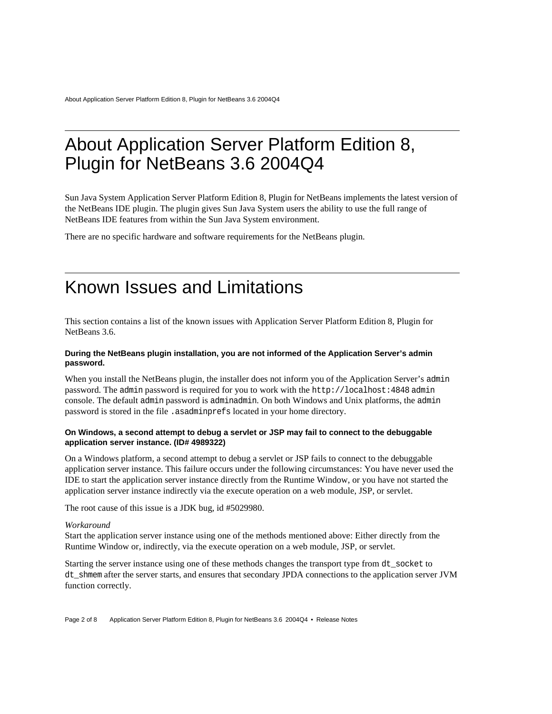### <span id="page-1-0"></span>About Application Server Platform Edition 8, Plugin for NetBeans 3.6 2004Q4

Sun Java System Application Server Platform Edition 8, Plugin for NetBeans implements the latest version of the NetBeans IDE plugin. The plugin gives Sun Java System users the ability to use the full range of NetBeans IDE features from within the Sun Java System environment.

There are no specific hardware and software requirements for the NetBeans plugin.

### <span id="page-1-1"></span>Known Issues and Limitations

This section contains a list of the known issues with Application Server Platform Edition 8, Plugin for NetBeans 3.6.

#### **During the NetBeans plugin installation, you are not informed of the Application Server's admin password.**

When you install the NetBeans plugin, the installer does not inform you of the Application Server's admin password. The admin password is required for you to work with the http://localhost:4848 admin console. The default admin password is adminadmin. On both Windows and Unix platforms, the admin password is stored in the file .asadminprefs located in your home directory.

#### **On Windows, a second attempt to debug a servlet or JSP may fail to connect to the debuggable application server instance. (ID# 4989322)**

On a Windows platform, a second attempt to debug a servlet or JSP fails to connect to the debuggable application server instance. This failure occurs under the following circumstances: You have never used the IDE to start the application server instance directly from the Runtime Window, or you have not started the application server instance indirectly via the execute operation on a web module, JSP, or servlet.

The root cause of this issue is a JDK bug, id #5029980.

#### *Workaround*

Start the application server instance using one of the methods mentioned above: Either directly from the Runtime Window or, indirectly, via the execute operation on a web module, JSP, or servlet.

Starting the server instance using one of these methods changes the transport type from dt socket to dt shmem after the server starts, and ensures that secondary JPDA connections to the application server JVM function correctly.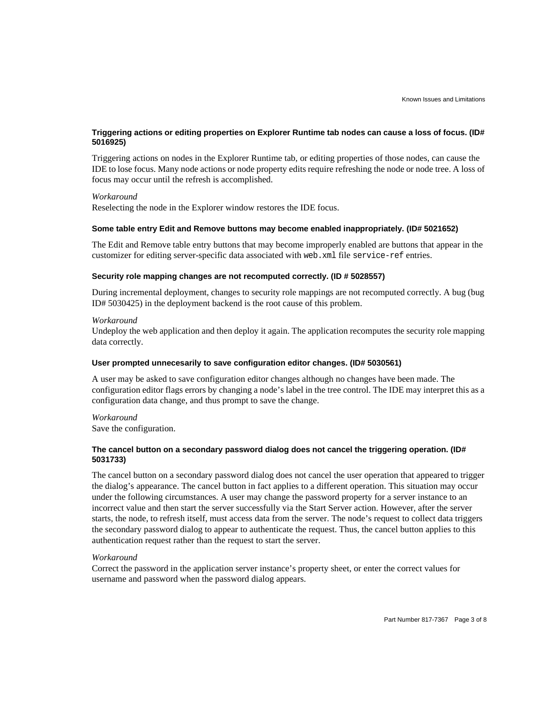#### **Triggering actions or editing properties on Explorer Runtime tab nodes can cause a loss of focus. (ID# 5016925)**

Triggering actions on nodes in the Explorer Runtime tab, or editing properties of those nodes, can cause the IDE to lose focus. Many node actions or node property edits require refreshing the node or node tree. A loss of focus may occur until the refresh is accomplished.

#### *Workaround*

Reselecting the node in the Explorer window restores the IDE focus.

#### **Some table entry Edit and Remove buttons may become enabled inappropriately. (ID# 5021652)**

The Edit and Remove table entry buttons that may become improperly enabled are buttons that appear in the customizer for editing server-specific data associated with web.xml file service-ref entries.

#### **Security role mapping changes are not recomputed correctly. (ID # 5028557)**

During incremental deployment, changes to security role mappings are not recomputed correctly. A bug (bug ID# 5030425) in the deployment backend is the root cause of this problem.

#### *Workaround*

Undeploy the web application and then deploy it again. The application recomputes the security role mapping data correctly.

#### **User prompted unnecesarily to save configuration editor changes. (ID# 5030561)**

A user may be asked to save configuration editor changes although no changes have been made. The configuration editor flags errors by changing a node's label in the tree control. The IDE may interpret this as a configuration data change, and thus prompt to save the change.

#### *Workaround*

Save the configuration.

#### **The cancel button on a secondary password dialog does not cancel the triggering operation. (ID# 5031733)**

The cancel button on a secondary password dialog does not cancel the user operation that appeared to trigger the dialog's appearance. The cancel button in fact applies to a different operation. This situation may occur under the following circumstances. A user may change the password property for a server instance to an incorrect value and then start the server successfully via the Start Server action. However, after the server starts, the node, to refresh itself, must access data from the server. The node's request to collect data triggers the secondary password dialog to appear to authenticate the request. Thus, the cancel button applies to this authentication request rather than the request to start the server.

#### *Workaround*

Correct the password in the application server instance's property sheet, or enter the correct values for username and password when the password dialog appears.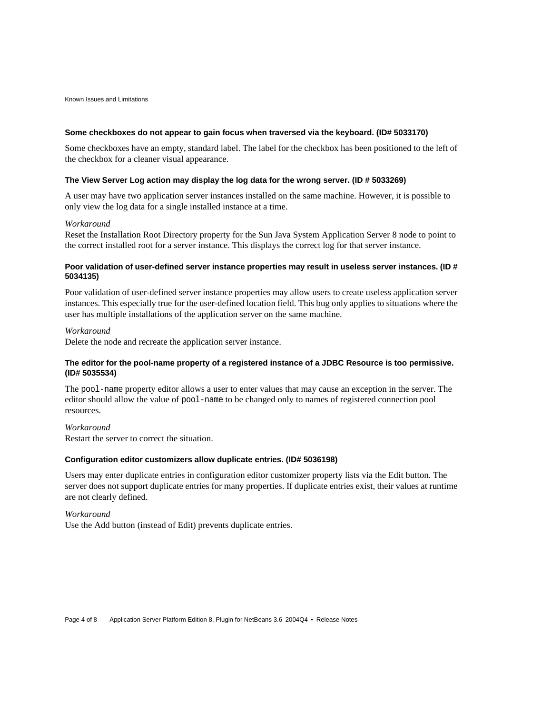#### **Some checkboxes do not appear to gain focus when traversed via the keyboard. (ID# 5033170)**

Some checkboxes have an empty, standard label. The label for the checkbox has been positioned to the left of the checkbox for a cleaner visual appearance.

#### **The View Server Log action may display the log data for the wrong server. (ID # 5033269)**

A user may have two application server instances installed on the same machine. However, it is possible to only view the log data for a single installed instance at a time.

#### *Workaround*

Reset the Installation Root Directory property for the Sun Java System Application Server 8 node to point to the correct installed root for a server instance. This displays the correct log for that server instance.

#### **Poor validation of user-defined server instance properties may result in useless server instances. (ID # 5034135)**

Poor validation of user-defined server instance properties may allow users to create useless application server instances. This especially true for the user-defined location field. This bug only applies to situations where the user has multiple installations of the application server on the same machine.

#### *Workaround*

Delete the node and recreate the application server instance.

#### **The editor for the pool-name property of a registered instance of a JDBC Resource is too permissive. (ID# 5035534)**

The pool-name property editor allows a user to enter values that may cause an exception in the server. The editor should allow the value of pool-name to be changed only to names of registered connection pool resources.

#### *Workaround*

Restart the server to correct the situation.

#### **Configuration editor customizers allow duplicate entries. (ID# 5036198)**

Users may enter duplicate entries in configuration editor customizer property lists via the Edit button. The server does not support duplicate entries for many properties. If duplicate entries exist, their values at runtime are not clearly defined.

#### *Workaround*

Use the Add button (instead of Edit) prevents duplicate entries.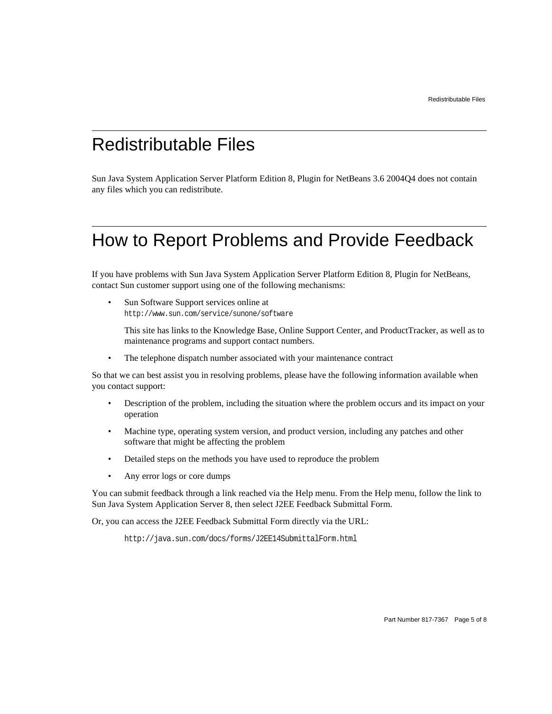### <span id="page-4-1"></span>Redistributable Files

Sun Java System Application Server Platform Edition 8, Plugin for NetBeans 3.6 2004Q4 does not contain any files which you can redistribute.

## <span id="page-4-0"></span>How to Report Problems and Provide Feedback

If you have problems with Sun Java System Application Server Platform Edition 8, Plugin for NetBeans, contact Sun customer support using one of the following mechanisms:

Sun Software Support services online at http://www.sun.com/service/sunone/software

This site has links to the Knowledge Base, Online Support Center, and ProductTracker, as well as to maintenance programs and support contact numbers.

• The telephone dispatch number associated with your maintenance contract

So that we can best assist you in resolving problems, please have the following information available when you contact support:

- Description of the problem, including the situation where the problem occurs and its impact on your operation
- Machine type, operating system version, and product version, including any patches and other software that might be affecting the problem
- Detailed steps on the methods you have used to reproduce the problem
- Any error logs or core dumps

You can submit feedback through a link reached via the Help menu. From the Help menu, follow the link to Sun Java System Application Server 8, then select J2EE Feedback Submittal Form.

Or, you can access the J2EE Feedback Submittal Form directly via the URL:

http://java.sun.com/docs/forms/J2EE14SubmittalForm.html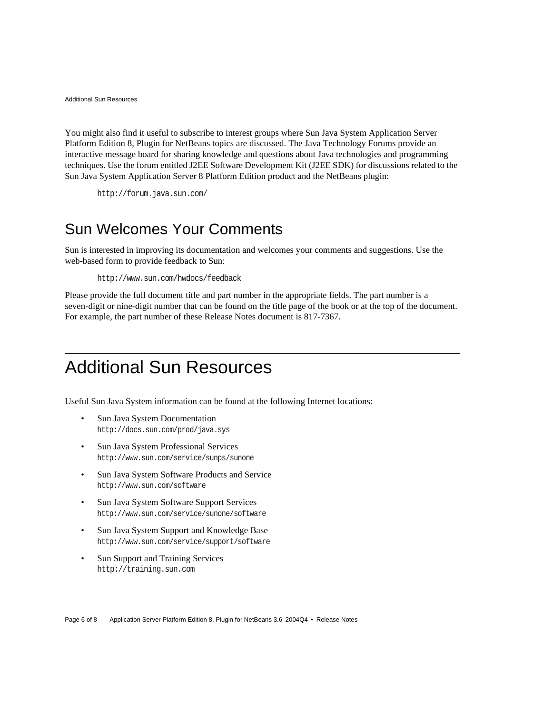You might also find it useful to subscribe to interest groups where Sun Java System Application Server Platform Edition 8, Plugin for NetBeans topics are discussed. The Java Technology Forums provide an interactive message board for sharing knowledge and questions about Java technologies and programming techniques. Use the forum entitled J2EE Software Development Kit (J2EE SDK) for discussions related to the Sun Java System Application Server 8 Platform Edition product and the NetBeans plugin:

```
http://forum.java.sun.com/
```
### Sun Welcomes Your Comments

Sun is interested in improving its documentation and welcomes your comments and suggestions. Use the web-based form to provide feedback to Sun:

http://www.sun.com/hwdocs/feedback

Please provide the full document title and part number in the appropriate fields. The part number is a seven-digit or nine-digit number that can be found on the title page of the book or at the top of the document. For example, the part number of these Release Notes document is 817-7367.

## <span id="page-5-0"></span>Additional Sun Resources

Useful Sun Java System information can be found at the following Internet locations:

- Sun Java System Documentation http://docs.sun.com/prod/java.sys
- Sun Java System Professional Services http://www.sun.com/service/sunps/sunone
- Sun Java System Software Products and Service http://www.sun.com/software
- Sun Java System Software Support Services http://www.sun.com/service/sunone/software
- Sun Java System Support and Knowledge Base http://www.sun.com/service/support/software
- Sun Support and Training Services http://training.sun.com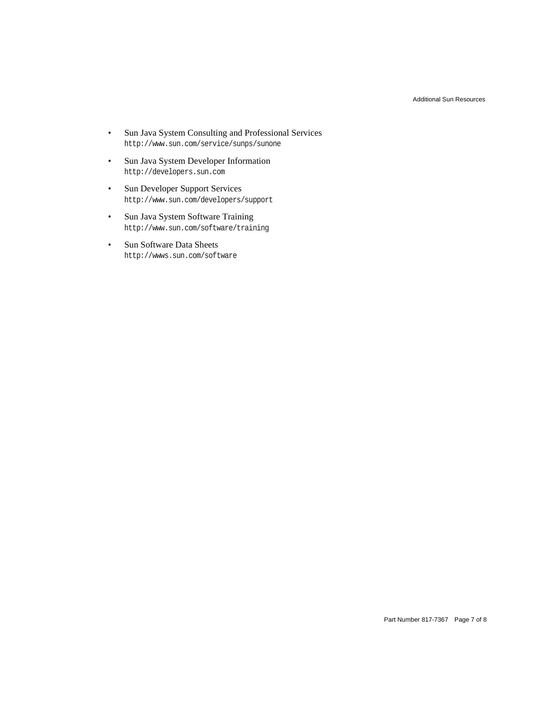- Sun Java System Consulting and Professional Services http://www.sun.com/service/sunps/sunone
- Sun Java System Developer Information http://developers.sun.com
- Sun Developer Support Services http://www.sun.com/developers/support
- Sun Java System Software Training http://www.sun.com/software/training
- Sun Software Data Sheets http://wwws.sun.com/software